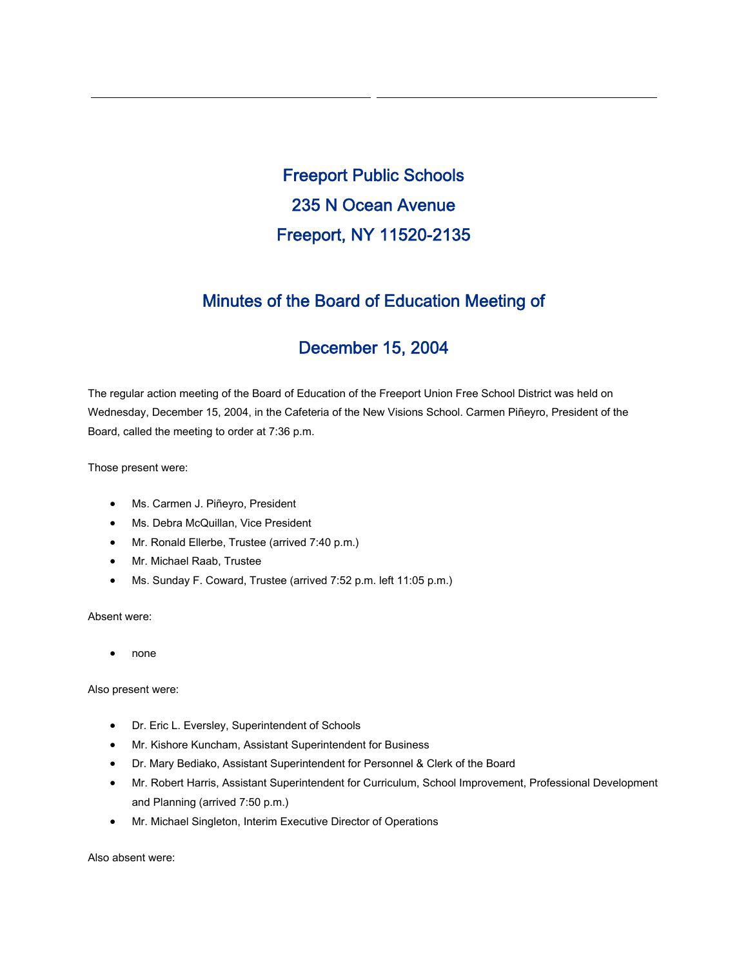Freeport Public Schools 235 N Ocean Avenue Freeport, NY 11520-2135

# Minutes of the Board of Education Meeting of

# December 15, 2004

The regular action meeting of the Board of Education of the Freeport Union Free School District was held on Wednesday, December 15, 2004, in the Cafeteria of the New Visions School. Carmen Piñeyro, President of the Board, called the meeting to order at 7:36 p.m.

Those present were:

- Ms. Carmen J. Piñeyro, President
- Ms. Debra McQuillan, Vice President
- Mr. Ronald Ellerbe, Trustee (arrived 7:40 p.m.)
- Mr. Michael Raab, Trustee
- Ms. Sunday F. Coward, Trustee (arrived 7:52 p.m. left 11:05 p.m.)

Absent were:

• none

Also present were:

- Dr. Eric L. Eversley, Superintendent of Schools
- Mr. Kishore Kuncham, Assistant Superintendent for Business
- Dr. Mary Bediako, Assistant Superintendent for Personnel & Clerk of the Board
- Mr. Robert Harris, Assistant Superintendent for Curriculum, School Improvement, Professional Development and Planning (arrived 7:50 p.m.)
- Mr. Michael Singleton, Interim Executive Director of Operations

Also absent were: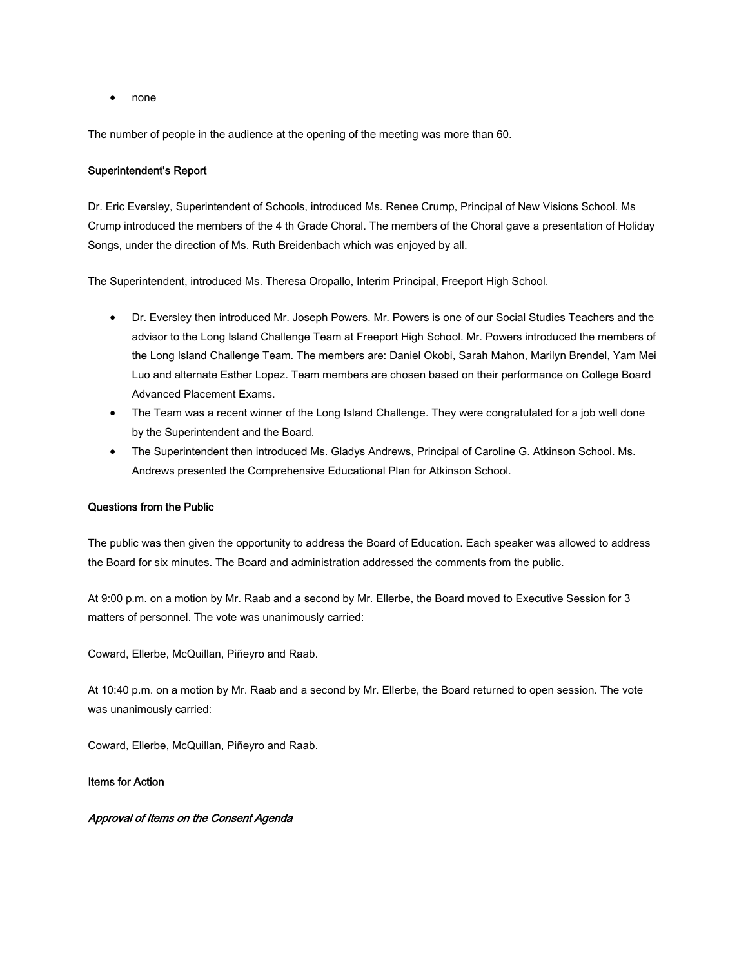• none

The number of people in the audience at the opening of the meeting was more than 60.

#### Superintendent's Report

Dr. Eric Eversley, Superintendent of Schools, introduced Ms. Renee Crump, Principal of New Visions School. Ms Crump introduced the members of the 4 th Grade Choral. The members of the Choral gave a presentation of Holiday Songs, under the direction of Ms. Ruth Breidenbach which was enjoyed by all.

The Superintendent, introduced Ms. Theresa Oropallo, Interim Principal, Freeport High School.

- Dr. Eversley then introduced Mr. Joseph Powers. Mr. Powers is one of our Social Studies Teachers and the advisor to the Long Island Challenge Team at Freeport High School. Mr. Powers introduced the members of the Long Island Challenge Team. The members are: Daniel Okobi, Sarah Mahon, Marilyn Brendel, Yam Mei Luo and alternate Esther Lopez. Team members are chosen based on their performance on College Board Advanced Placement Exams.
- The Team was a recent winner of the Long Island Challenge. They were congratulated for a job well done by the Superintendent and the Board.
- The Superintendent then introduced Ms. Gladys Andrews, Principal of Caroline G. Atkinson School. Ms. Andrews presented the Comprehensive Educational Plan for Atkinson School.

#### Questions from the Public

The public was then given the opportunity to address the Board of Education. Each speaker was allowed to address the Board for six minutes. The Board and administration addressed the comments from the public.

At 9:00 p.m. on a motion by Mr. Raab and a second by Mr. Ellerbe, the Board moved to Executive Session for 3 matters of personnel. The vote was unanimously carried:

Coward, Ellerbe, McQuillan, Piñeyro and Raab.

At 10:40 p.m. on a motion by Mr. Raab and a second by Mr. Ellerbe, the Board returned to open session. The vote was unanimously carried:

Coward, Ellerbe, McQuillan, Piñeyro and Raab.

## Items for Action

### Approval of Items on the Consent Agenda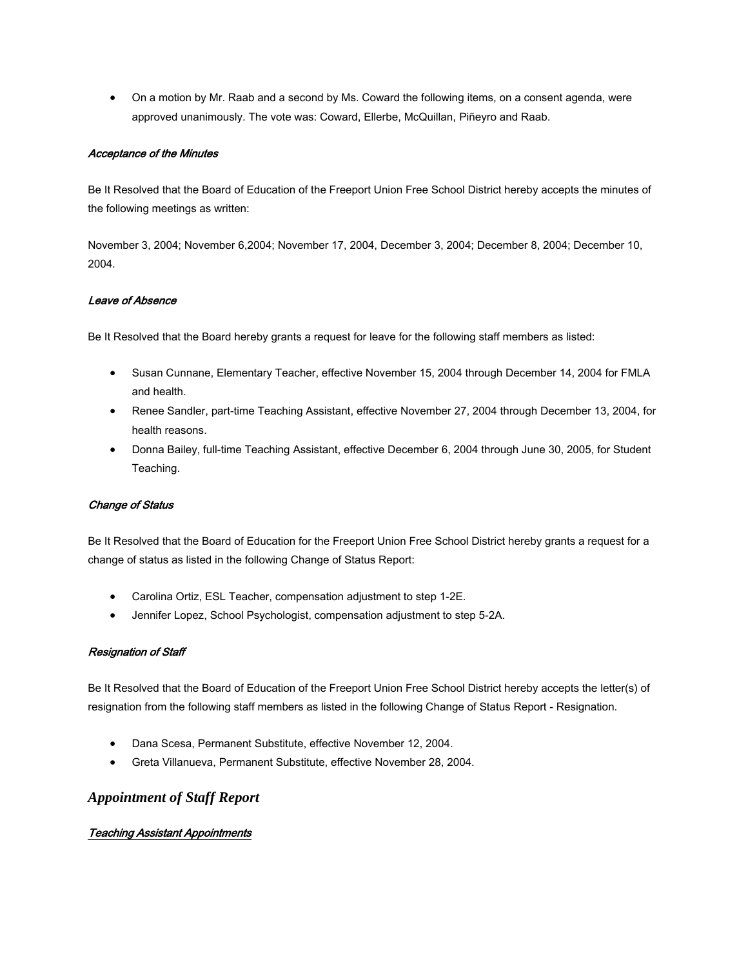• On a motion by Mr. Raab and a second by Ms. Coward the following items, on a consent agenda, were approved unanimously. The vote was: Coward, Ellerbe, McQuillan, Piñeyro and Raab.

### Acceptance of the Minutes

Be It Resolved that the Board of Education of the Freeport Union Free School District hereby accepts the minutes of the following meetings as written:

November 3, 2004; November 6,2004; November 17, 2004, December 3, 2004; December 8, 2004; December 10, 2004.

#### Leave of Absence

Be It Resolved that the Board hereby grants a request for leave for the following staff members as listed:

- Susan Cunnane, Elementary Teacher, effective November 15, 2004 through December 14, 2004 for FMLA and health.
- Renee Sandler, part-time Teaching Assistant, effective November 27, 2004 through December 13, 2004, for health reasons.
- Donna Bailey, full-time Teaching Assistant, effective December 6, 2004 through June 30, 2005, for Student Teaching.

#### Change of Status

Be It Resolved that the Board of Education for the Freeport Union Free School District hereby grants a request for a change of status as listed in the following Change of Status Report:

- Carolina Ortiz, ESL Teacher, compensation adjustment to step 1-2E.
- Jennifer Lopez, School Psychologist, compensation adjustment to step 5-2A.

#### Resignation of Staff

Be It Resolved that the Board of Education of the Freeport Union Free School District hereby accepts the letter(s) of resignation from the following staff members as listed in the following Change of Status Report - Resignation.

- Dana Scesa, Permanent Substitute, effective November 12, 2004.
- Greta Villanueva, Permanent Substitute, effective November 28, 2004.

# *Appointment of Staff Report*

## Teaching Assistant Appointments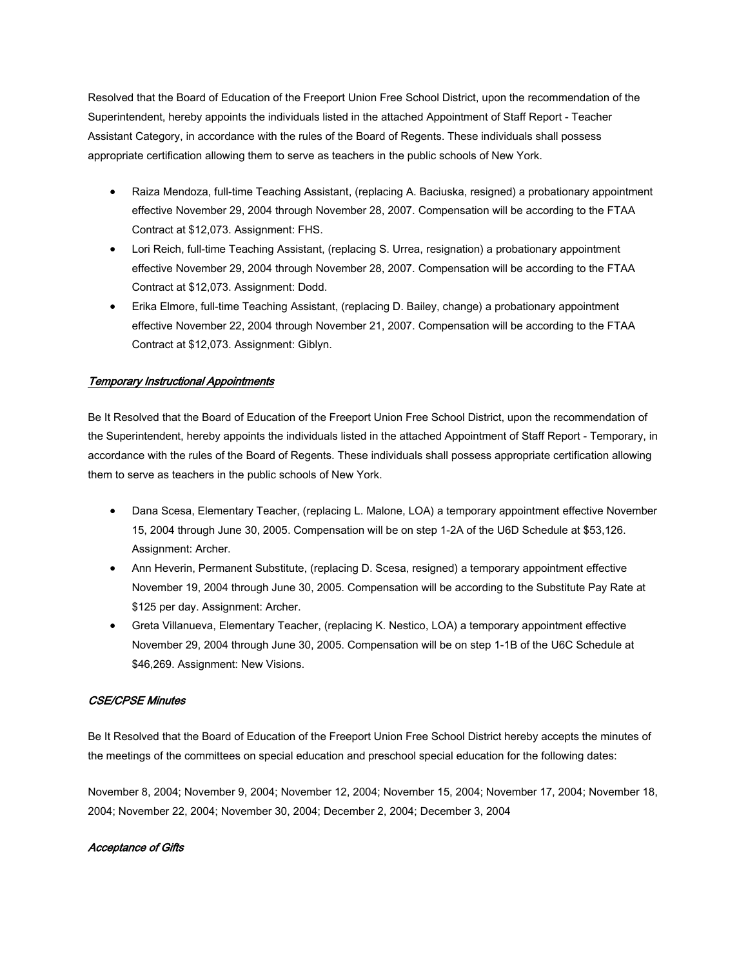Resolved that the Board of Education of the Freeport Union Free School District, upon the recommendation of the Superintendent, hereby appoints the individuals listed in the attached Appointment of Staff Report - Teacher Assistant Category, in accordance with the rules of the Board of Regents. These individuals shall possess appropriate certification allowing them to serve as teachers in the public schools of New York.

- Raiza Mendoza, full-time Teaching Assistant, (replacing A. Baciuska, resigned) a probationary appointment effective November 29, 2004 through November 28, 2007. Compensation will be according to the FTAA Contract at \$12,073. Assignment: FHS.
- Lori Reich, full-time Teaching Assistant, (replacing S. Urrea, resignation) a probationary appointment effective November 29, 2004 through November 28, 2007. Compensation will be according to the FTAA Contract at \$12,073. Assignment: Dodd.
- Erika Elmore, full-time Teaching Assistant, (replacing D. Bailey, change) a probationary appointment effective November 22, 2004 through November 21, 2007. Compensation will be according to the FTAA Contract at \$12,073. Assignment: Giblyn.

## Temporary Instructional Appointments

Be It Resolved that the Board of Education of the Freeport Union Free School District, upon the recommendation of the Superintendent, hereby appoints the individuals listed in the attached Appointment of Staff Report - Temporary, in accordance with the rules of the Board of Regents. These individuals shall possess appropriate certification allowing them to serve as teachers in the public schools of New York.

- Dana Scesa, Elementary Teacher, (replacing L. Malone, LOA) a temporary appointment effective November 15, 2004 through June 30, 2005. Compensation will be on step 1-2A of the U6D Schedule at \$53,126. Assignment: Archer.
- Ann Heverin, Permanent Substitute, (replacing D. Scesa, resigned) a temporary appointment effective November 19, 2004 through June 30, 2005. Compensation will be according to the Substitute Pay Rate at \$125 per day. Assignment: Archer.
- Greta Villanueva, Elementary Teacher, (replacing K. Nestico, LOA) a temporary appointment effective November 29, 2004 through June 30, 2005. Compensation will be on step 1-1B of the U6C Schedule at \$46,269. Assignment: New Visions.

#### CSE/CPSE Minutes

Be It Resolved that the Board of Education of the Freeport Union Free School District hereby accepts the minutes of the meetings of the committees on special education and preschool special education for the following dates:

November 8, 2004; November 9, 2004; November 12, 2004; November 15, 2004; November 17, 2004; November 18, 2004; November 22, 2004; November 30, 2004; December 2, 2004; December 3, 2004

#### Acceptance of Gifts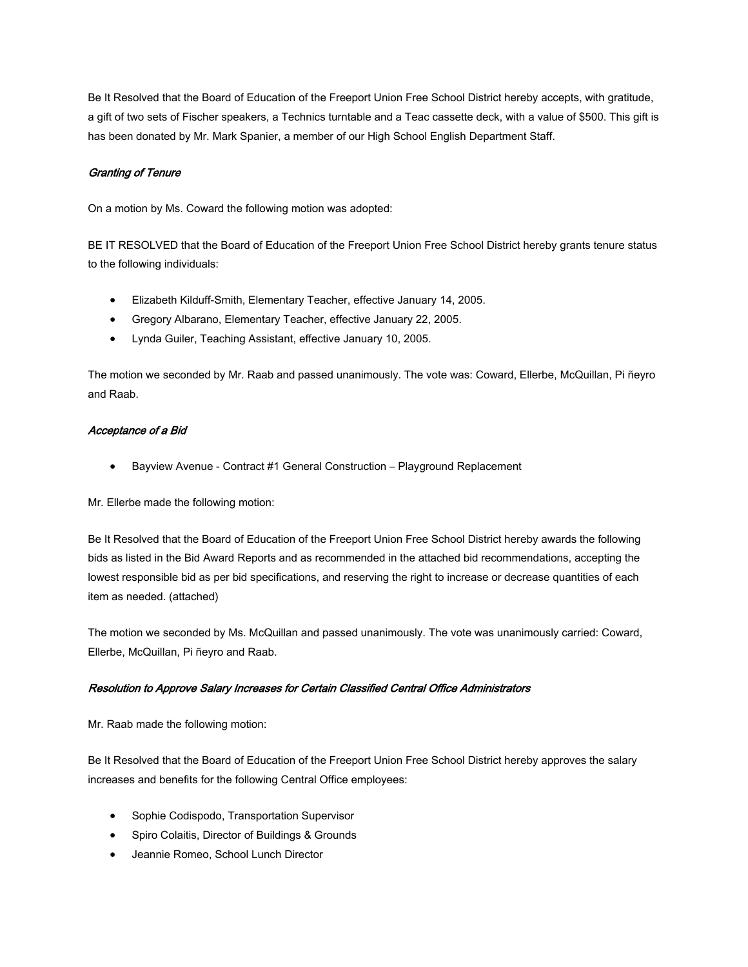Be It Resolved that the Board of Education of the Freeport Union Free School District hereby accepts, with gratitude, a gift of two sets of Fischer speakers, a Technics turntable and a Teac cassette deck, with a value of \$500. This gift is has been donated by Mr. Mark Spanier, a member of our High School English Department Staff.

## Granting of Tenure

On a motion by Ms. Coward the following motion was adopted:

BE IT RESOLVED that the Board of Education of the Freeport Union Free School District hereby grants tenure status to the following individuals:

- Elizabeth Kilduff-Smith, Elementary Teacher, effective January 14, 2005.
- Gregory Albarano, Elementary Teacher, effective January 22, 2005.
- Lynda Guiler, Teaching Assistant, effective January 10, 2005.

The motion we seconded by Mr. Raab and passed unanimously. The vote was: Coward, Ellerbe, McQuillan, Pi ñeyro and Raab.

#### Acceptance of a Bid

• Bayview Avenue - Contract #1 General Construction – Playground Replacement

Mr. Ellerbe made the following motion:

Be It Resolved that the Board of Education of the Freeport Union Free School District hereby awards the following bids as listed in the Bid Award Reports and as recommended in the attached bid recommendations, accepting the lowest responsible bid as per bid specifications, and reserving the right to increase or decrease quantities of each item as needed. (attached)

The motion we seconded by Ms. McQuillan and passed unanimously. The vote was unanimously carried: Coward, Ellerbe, McQuillan, Pi ñeyro and Raab.

#### Resolution to Approve Salary Increases for Certain Classified Central Office Administrators

Mr. Raab made the following motion:

Be It Resolved that the Board of Education of the Freeport Union Free School District hereby approves the salary increases and benefits for the following Central Office employees:

- Sophie Codispodo, Transportation Supervisor
- Spiro Colaitis, Director of Buildings & Grounds
- Jeannie Romeo, School Lunch Director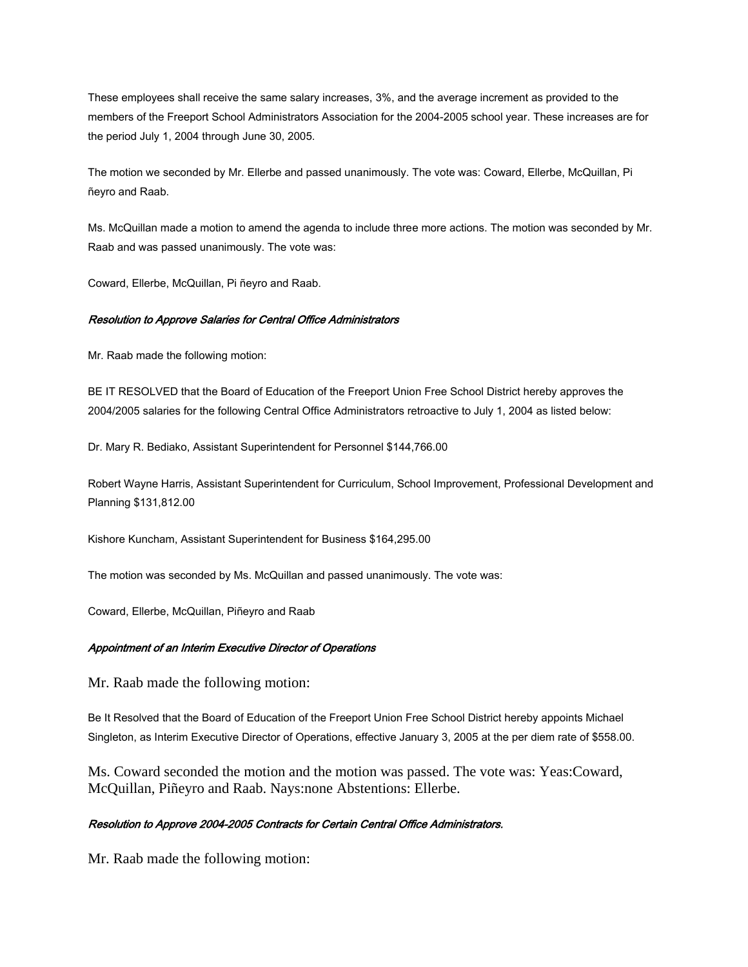These employees shall receive the same salary increases, 3%, and the average increment as provided to the members of the Freeport School Administrators Association for the 2004-2005 school year. These increases are for the period July 1, 2004 through June 30, 2005.

The motion we seconded by Mr. Ellerbe and passed unanimously. The vote was: Coward, Ellerbe, McQuillan, Pi ñeyro and Raab.

Ms. McQuillan made a motion to amend the agenda to include three more actions. The motion was seconded by Mr. Raab and was passed unanimously. The vote was:

Coward, Ellerbe, McQuillan, Pi ñeyro and Raab.

#### Resolution to Approve Salaries for Central Office Administrators

Mr. Raab made the following motion:

BE IT RESOLVED that the Board of Education of the Freeport Union Free School District hereby approves the 2004/2005 salaries for the following Central Office Administrators retroactive to July 1, 2004 as listed below:

Dr. Mary R. Bediako, Assistant Superintendent for Personnel \$144,766.00

Robert Wayne Harris, Assistant Superintendent for Curriculum, School Improvement, Professional Development and Planning \$131,812.00

Kishore Kuncham, Assistant Superintendent for Business \$164,295.00

The motion was seconded by Ms. McQuillan and passed unanimously. The vote was:

Coward, Ellerbe, McQuillan, Piñeyro and Raab

#### Appointment of an Interim Executive Director of Operations

Mr. Raab made the following motion:

Be It Resolved that the Board of Education of the Freeport Union Free School District hereby appoints Michael Singleton, as Interim Executive Director of Operations, effective January 3, 2005 at the per diem rate of \$558.00.

Ms. Coward seconded the motion and the motion was passed. The vote was: Yeas:Coward, McQuillan, Piñeyro and Raab. Nays:none Abstentions: Ellerbe.

#### Resolution to Approve 2004-2005 Contracts for Certain Central Office Administrators.

Mr. Raab made the following motion: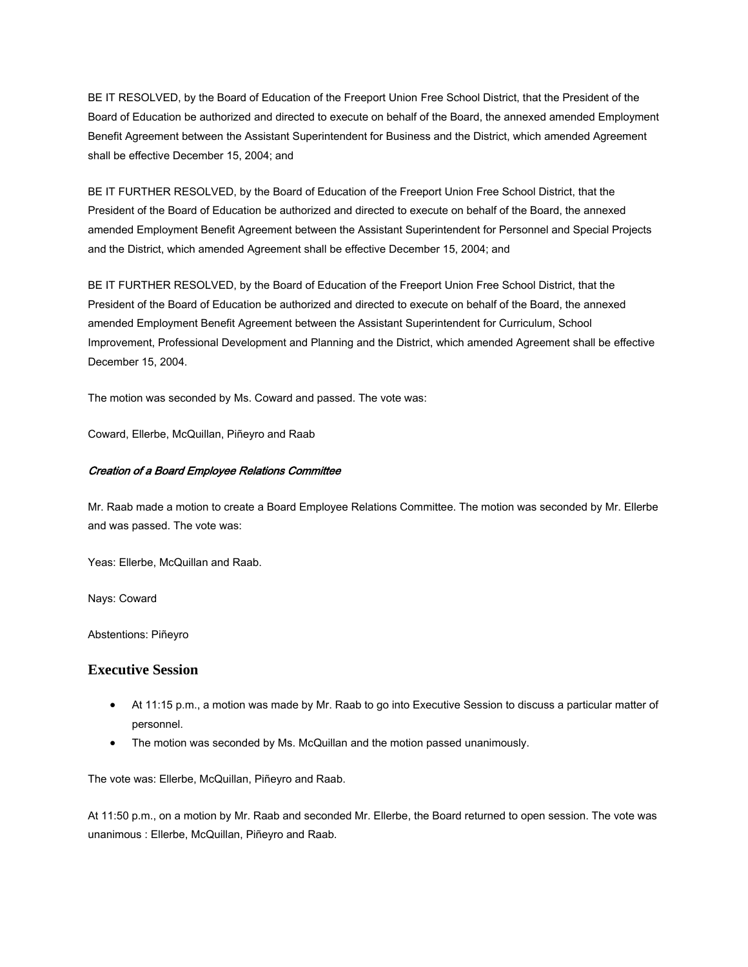BE IT RESOLVED, by the Board of Education of the Freeport Union Free School District, that the President of the Board of Education be authorized and directed to execute on behalf of the Board, the annexed amended Employment Benefit Agreement between the Assistant Superintendent for Business and the District, which amended Agreement shall be effective December 15, 2004; and

BE IT FURTHER RESOLVED, by the Board of Education of the Freeport Union Free School District, that the President of the Board of Education be authorized and directed to execute on behalf of the Board, the annexed amended Employment Benefit Agreement between the Assistant Superintendent for Personnel and Special Projects and the District, which amended Agreement shall be effective December 15, 2004; and

BE IT FURTHER RESOLVED, by the Board of Education of the Freeport Union Free School District, that the President of the Board of Education be authorized and directed to execute on behalf of the Board, the annexed amended Employment Benefit Agreement between the Assistant Superintendent for Curriculum, School Improvement, Professional Development and Planning and the District, which amended Agreement shall be effective December 15, 2004.

The motion was seconded by Ms. Coward and passed. The vote was:

Coward, Ellerbe, McQuillan, Piñeyro and Raab

#### Creation of a Board Employee Relations Committee

Mr. Raab made a motion to create a Board Employee Relations Committee. The motion was seconded by Mr. Ellerbe and was passed. The vote was:

Yeas: Ellerbe, McQuillan and Raab.

Nays: Coward

Abstentions: Piñeyro

#### **Executive Session**

- At 11:15 p.m., a motion was made by Mr. Raab to go into Executive Session to discuss a particular matter of personnel.
- The motion was seconded by Ms. McQuillan and the motion passed unanimously.

The vote was: Ellerbe, McQuillan, Piñeyro and Raab.

At 11:50 p.m., on a motion by Mr. Raab and seconded Mr. Ellerbe, the Board returned to open session. The vote was unanimous : Ellerbe, McQuillan, Piñeyro and Raab.